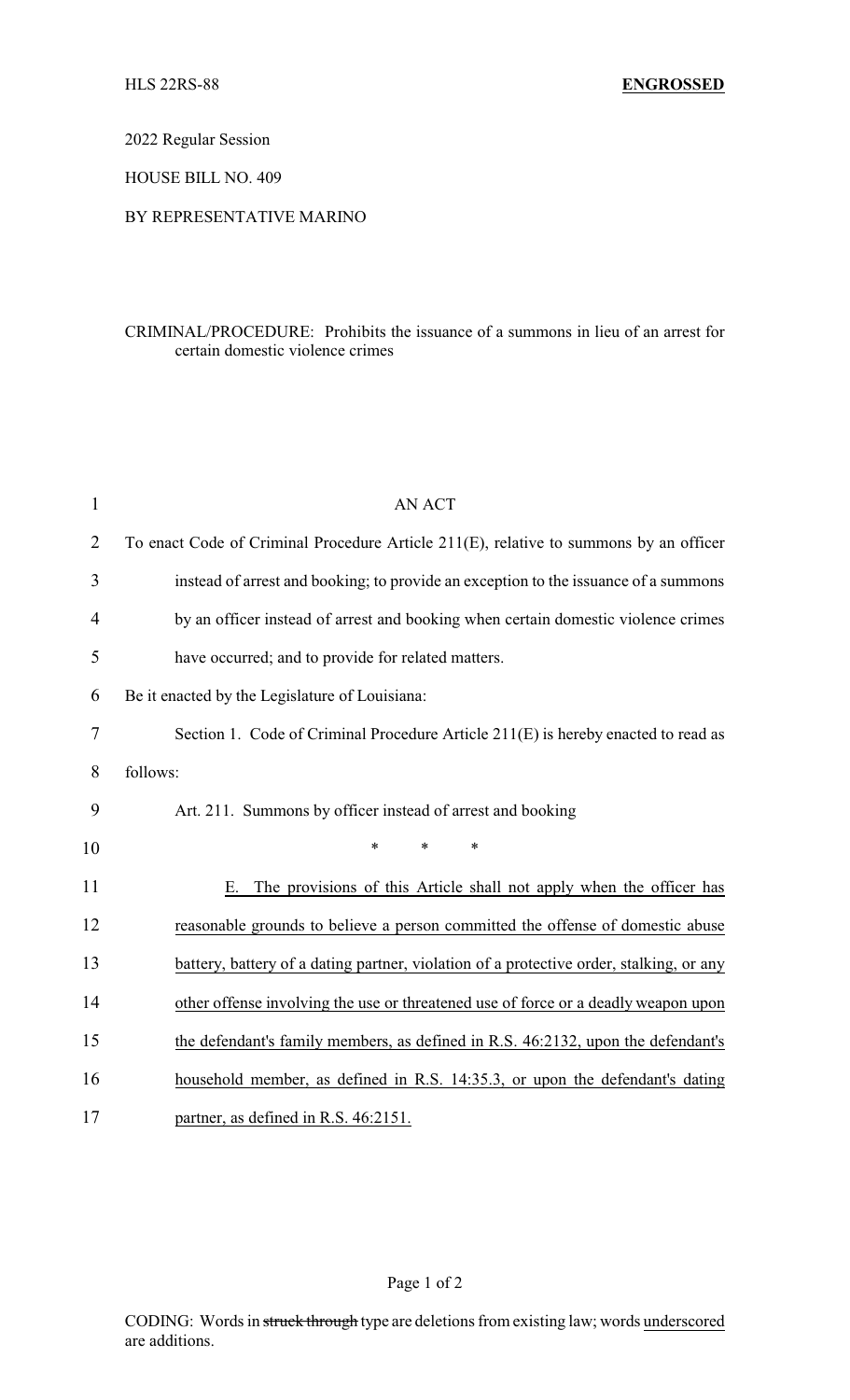2022 Regular Session

HOUSE BILL NO. 409

## BY REPRESENTATIVE MARINO

## CRIMINAL/PROCEDURE: Prohibits the issuance of a summons in lieu of an arrest for certain domestic violence crimes

| $\mathbf{1}$   | <b>AN ACT</b>                                                                           |  |  |
|----------------|-----------------------------------------------------------------------------------------|--|--|
| $\overline{2}$ | To enact Code of Criminal Procedure Article 211(E), relative to summons by an officer   |  |  |
| 3              | instead of arrest and booking; to provide an exception to the issuance of a summons     |  |  |
| 4              | by an officer instead of arrest and booking when certain domestic violence crimes       |  |  |
| 5              | have occurred; and to provide for related matters.                                      |  |  |
| 6              | Be it enacted by the Legislature of Louisiana:                                          |  |  |
| 7              | Section 1. Code of Criminal Procedure Article 211(E) is hereby enacted to read as       |  |  |
| 8              | follows:                                                                                |  |  |
| 9              | Art. 211. Summons by officer instead of arrest and booking                              |  |  |
| 10             | $\ast$<br>$\ast$<br>$\ast$                                                              |  |  |
| 11             | The provisions of this Article shall not apply when the officer has<br>Е.               |  |  |
| 12             | reasonable grounds to believe a person committed the offense of domestic abuse          |  |  |
| 13             | battery, battery of a dating partner, violation of a protective order, stalking, or any |  |  |
| 14             | other offense involving the use or threatened use of force or a deadly weapon upon      |  |  |
| 15             | the defendant's family members, as defined in R.S. 46:2132, upon the defendant's        |  |  |
| 16             | household member, as defined in R.S. 14:35.3, or upon the defendant's dating            |  |  |
| 17             | partner, as defined in R.S. 46:2151.                                                    |  |  |